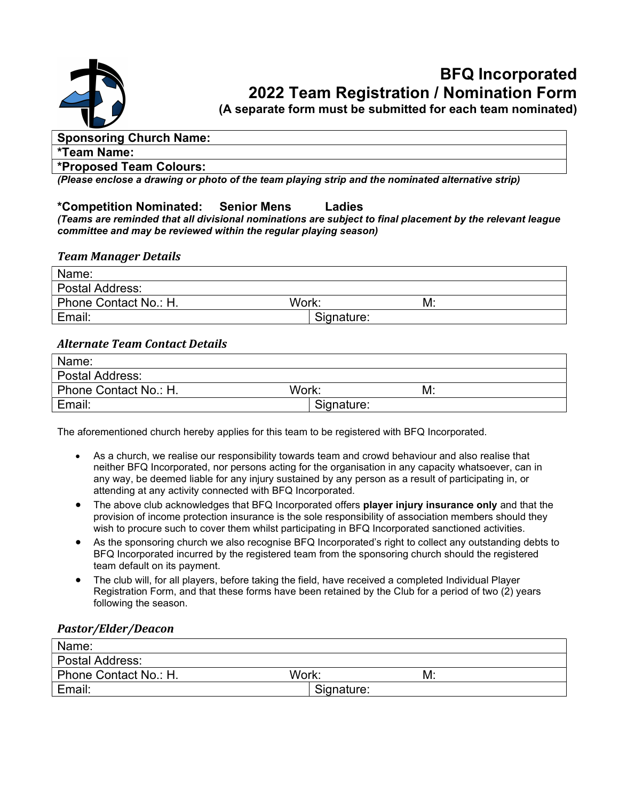

## BFQ Incorporated 2022 Team Registration / Nomination Form

(A separate form must be submitted for each team nominated)

#### Sponsoring Church Name:

#### \*Team Name:

#### \*Proposed Team Colours:

(Please enclose a drawing or photo of the team playing strip and the nominated alternative strip)

### \*Competition Nominated: Senior Mens Ladies

(Teams are reminded that all divisional nominations are subject to final placement by the relevant league committee and may be reviewed within the regular playing season)

#### Team Manager Details

| Work:<br>M: |
|-------------|
| Signature:  |
|             |

#### Alternate Team Contact Details

| Name:                          |            |
|--------------------------------|------------|
| Postal Address:                |            |
| Phone Contact No.: H.<br>Work: | M:         |
| Email:                         | Signature: |

The aforementioned church hereby applies for this team to be registered with BFQ Incorporated.

- As a church, we realise our responsibility towards team and crowd behaviour and also realise that neither BFQ Incorporated, nor persons acting for the organisation in any capacity whatsoever, can in any way, be deemed liable for any injury sustained by any person as a result of participating in, or attending at any activity connected with BFQ Incorporated.
- The above club acknowledges that BFQ Incorporated offers player injury insurance only and that the provision of income protection insurance is the sole responsibility of association members should they wish to procure such to cover them whilst participating in BFQ Incorporated sanctioned activities.
- As the sponsoring church we also recognise BFQ Incorporated's right to collect any outstanding debts to BFQ Incorporated incurred by the registered team from the sponsoring church should the registered team default on its payment.
- The club will, for all players, before taking the field, have received a completed Individual Player Registration Form, and that these forms have been retained by the Club for a period of two (2) years following the season.

#### Pastor/Elder/Deacon

| Name:                 |             |
|-----------------------|-------------|
| Postal Address:       |             |
| Phone Contact No.: H. | Work:<br>M: |
| Email:                | Signature:  |